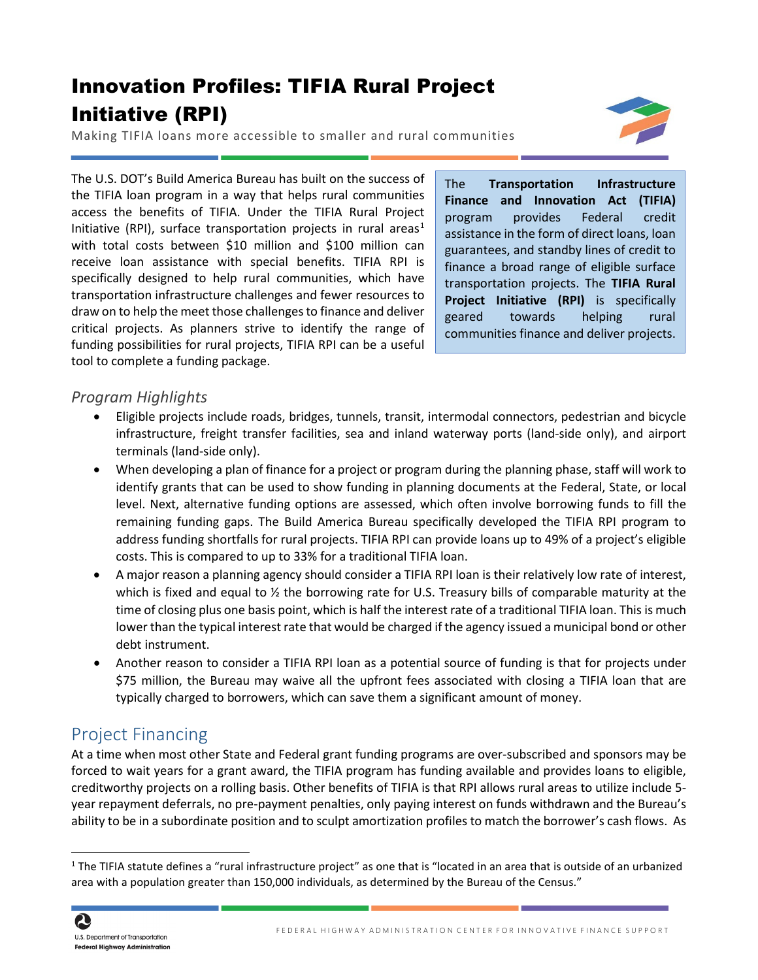# Innovation Profiles: TIFIA Rural Project Initiative (RPI)

Making TIFIA loans more accessible to smaller and rural communities



The U.S. DOT's Build America Bureau has built on the success of the TIFIA loan program in a way that helps rural communities access the benefits of TIFIA. Under the TIFIA Rural Project Initiative (RPI), surface transportation projects in rural areas<sup>[1](#page-0-0)</sup> with total costs between \$10 million and \$100 million can receive loan assistance with special benefits. TIFIA RPI is specifically designed to help rural communities, which have transportation infrastructure challenges and fewer resources to draw on to help the meet those challengesto finance and deliver critical projects. As planners strive to identify the range of funding possibilities for rural projects, TIFIA RPI can be a useful tool to complete a funding package.

The **Transportation Infrastructure Finance and Innovation Act (TIFIA)** program provides Federal credit assistance in the form of direct loans, loan guarantees, and standby lines of credit to finance a broad range of eligible surface transportation projects. The **TIFIA Rural Project Initiative (RPI)** is specifically geared towards helping rural communities finance and deliver projects.

#### *Program Highlights*

- Eligible projects include roads, bridges, tunnels, transit, intermodal connectors, pedestrian and bicycle infrastructure, freight transfer facilities, sea and inland waterway ports (land-side only), and airport terminals (land-side only).
- When developing a plan of finance for a project or program during the planning phase, staff will work to identify grants that can be used to show funding in planning documents at the Federal, State, or local level. Next, alternative funding options are assessed, which often involve borrowing funds to fill the remaining funding gaps. The Build America Bureau specifically developed the TIFIA RPI program to address funding shortfalls for rural projects. TIFIA RPI can provide loans up to 49% of a project's eligible costs. This is compared to up to 33% for a traditional TIFIA loan.
- A major reason a planning agency should consider a TIFIA RPI loan is their relatively low rate of interest, which is fixed and equal to  $\frac{1}{2}$  the borrowing rate for U.S. Treasury bills of comparable maturity at the time of closing plus one basis point, which is half the interest rate of a traditional TIFIA loan. This is much lower than the typical interest rate that would be charged if the agency issued a municipal bond or other debt instrument.
- Another reason to consider a TIFIA RPI loan as a potential source of funding is that for projects under \$75 million, the Bureau may waive all the upfront fees associated with closing a TIFIA loan that are typically charged to borrowers, which can save them a significant amount of money.

## Project Financing

At a time when most other State and Federal grant funding programs are over-subscribed and sponsors may be forced to wait years for a grant award, the TIFIA program has funding available and provides loans to eligible, creditworthy projects on a rolling basis. Other benefits of TIFIA is that RPI allows rural areas to utilize include 5 year repayment deferrals, no pre-payment penalties, only paying interest on funds withdrawn and the Bureau's ability to be in a subordinate position and to sculpt amortization profiles to match the borrower's cash flows. As

 $\overline{a}$ 

<span id="page-0-0"></span> $1$  The TIFIA statute defines a "rural infrastructure project" as one that is "located in an area that is outside of an urbanized area with a population greater than 150,000 individuals, as determined by the Bureau of the Census."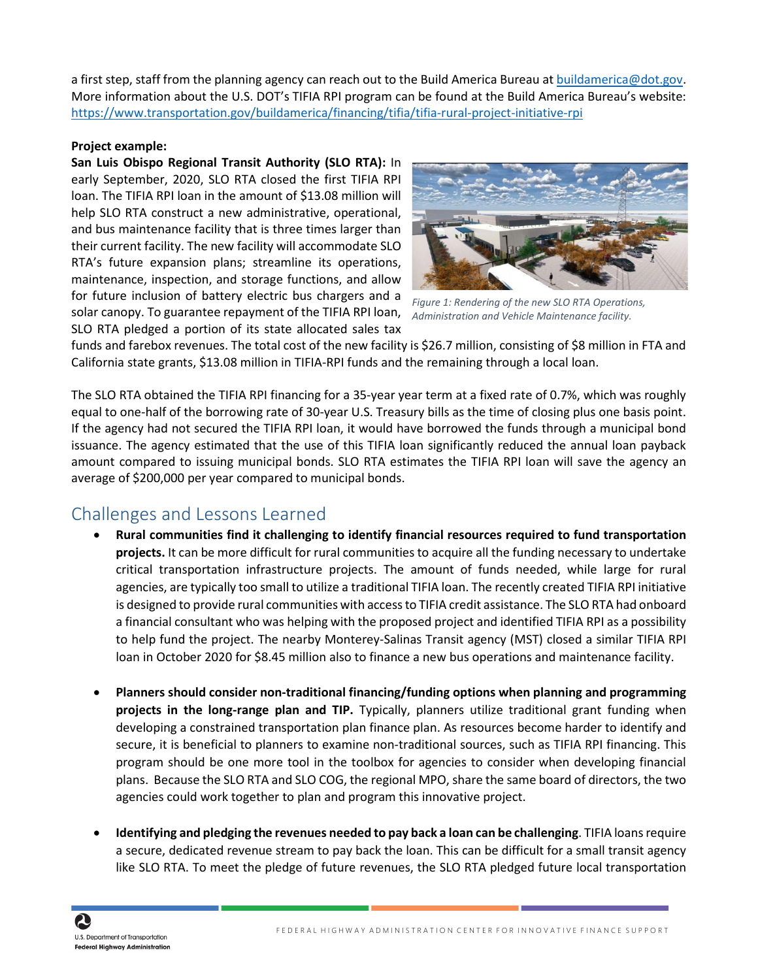a first step, staff from the planning agency can reach out to the Build America Bureau at [buildamerica@dot.gov.](mailto:buildamerica@dot.gov) More information about the U.S. DOT's TIFIA RPI program can be found at the Build America Bureau's website: <https://www.transportation.gov/buildamerica/financing/tifia/tifia-rural-project-initiative-rpi>

#### **Project example:**

**San Luis Obispo Regional Transit Authority (SLO RTA):** In early September, 2020, SLO RTA closed the first TIFIA RPI loan. The TIFIA RPI loan in the amount of \$13.08 million will help SLO RTA construct a new administrative, operational, and bus maintenance facility that is three times larger than their current facility. The new facility will accommodate SLO RTA's future expansion plans; streamline its operations, maintenance, inspection, and storage functions, and allow for future inclusion of battery electric bus chargers and a solar canopy. To guarantee repayment of the TIFIA RPI loan, SLO RTA pledged a portion of its state allocated sales tax



*Figure 1: Rendering of the new SLO RTA Operations, Administration and Vehicle Maintenance facility.* 

funds and farebox revenues. The total cost of the new facility is \$26.7 million, consisting of \$8 million in FTA and California state grants, \$13.08 million in TIFIA-RPI funds and the remaining through a local loan.

The SLO RTA obtained the TIFIA RPI financing for a 35-year year term at a fixed rate of 0.7%, which was roughly equal to one-half of the borrowing rate of 30-year U.S. Treasury bills as the time of closing plus one basis point. If the agency had not secured the TIFIA RPI loan, it would have borrowed the funds through a municipal bond issuance. The agency estimated that the use of this TIFIA loan significantly reduced the annual loan payback amount compared to issuing municipal bonds. SLO RTA estimates the TIFIA RPI loan will save the agency an average of \$200,000 per year compared to municipal bonds.

## Challenges and Lessons Learned

- **Rural communities find it challenging to identify financial resources required to fund transportation projects.** It can be more difficult for rural communities to acquire all the funding necessary to undertake critical transportation infrastructure projects. The amount of funds needed, while large for rural agencies, are typically too small to utilize a traditional TIFIA loan. The recently created TIFIA RPI initiative is designed to provide rural communities with access to TIFIA credit assistance. The SLO RTA had onboard a financial consultant who was helping with the proposed project and identified TIFIA RPI as a possibility to help fund the project. The nearby Monterey-Salinas Transit agency (MST) closed a similar TIFIA RPI loan in October 2020 for \$8.45 million also to finance a new bus operations and maintenance facility.
- **Planners should consider non-traditional financing/funding options when planning and programming projects in the long-range plan and TIP.** Typically, planners utilize traditional grant funding when developing a constrained transportation plan finance plan. As resources become harder to identify and secure, it is beneficial to planners to examine non-traditional sources, such as TIFIA RPI financing. This program should be one more tool in the toolbox for agencies to consider when developing financial plans. Because the SLO RTA and SLO COG, the regional MPO, share the same board of directors, the two agencies could work together to plan and program this innovative project.
- **Identifying and pledging the revenues needed to pay back a loan can be challenging**. TIFIA loans require a secure, dedicated revenue stream to pay back the loan. This can be difficult for a small transit agency like SLO RTA. To meet the pledge of future revenues, the SLO RTA pledged future local transportation